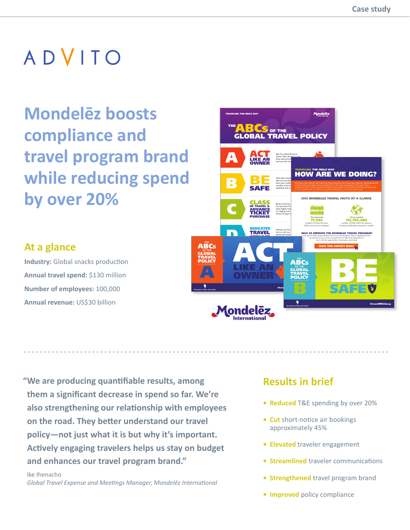**Mondelēz boosts compliance and travel program brand while reducing spend by over 20%**

#### Mondelēz TRAVELING THE MDLZ WAY THE ABCS OF THE TRAVEL POLICY ACT A Opt for alternatives to travel. Plan ahead to save LIKE AN time and money. **Reading** and use the travel Policy Policy OWNER **HOW ARE WE DOING? BE** B Visit safe travel<mark>s</mark> to learn about your desting the same of sure your mobil en Welki SAFE number and travel expense can updated and ac**curate** CLASS C Book economy c OF TRAVEL & for less than 5  $\mathsf H$ ADVANCE class flights may TICKET for flights over  $\vert$ travel 14 days in PURCHASE DEDICATED TRAVEL D Always use the  $\vert$ tool or call our s preferred travel vour <u>service</u> best rates. Use your corporate PROVIDERS **ABCs** E ESSENTIAL Spousal travel must be **Presidents** SPOUSAL **TRAVEL MyMix: Global Travel and Expense ondele**

#### **At a glance**

**Industry:** Global snacks production **Annual travel spend:** \$130 million **Number of employees:** 100,000 **Annual revenue:** US\$30 billion

**"We are producing quantifiable results, among them a significant decrease in spend so far. We're also strengthening our relationship with employees on the road. They better understand our travel policy—not just what it is but why it's important. Actively engaging travelers helps us stay on budget and enhances our travel program brand."**

 Ike Ihenacho *Global Travel Expense and Meetings Manager, Mondelēz International*

#### **Results in brief**

- **Reduced** T&E spending by over 20%
- **Cut** short-notice air bookings approximately 45%
- **Elevated** traveler engagement
- **Streamlined** traveler communications
- **Strengthened** travel program brand
- **Improved** policy compliance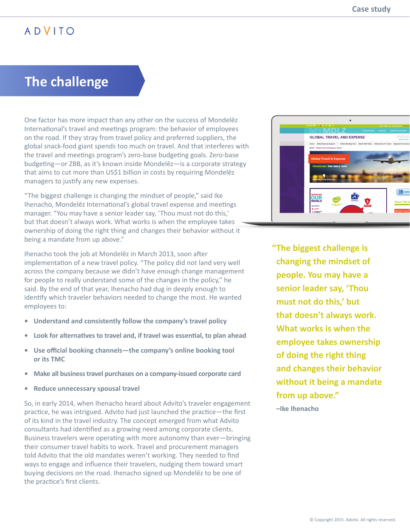# **The challenge**

One factor has more impact than any other on the success of Mondelēz International's travel and meetings program: the behavior of employees on the road. If they stray from travel policy and preferred suppliers, the global snack-food giant spends too much on travel. And that interferes with the travel and meetings program's zero-base budgeting goals. Zero-base budgeting—or ZBB, as it's known inside Mondelēz—is a corporate strategy that aims to cut more than US\$1 billion in costs by requiring Mondelez managers to justify any new expenses.

"The biggest challenge is changing the mindset of people," said Ike Ihenacho, Mondelēz International's global travel expense and meetings manager. "You may have a senior leader say, 'Thou must not do this,' but that doesn't always work. What works is when the employee takes ownership of doing the right thing and changes their behavior without it being a mandate from up above."

Ihenacho took the job at Mondelēz in March 2013, soon after implementation of a new travel policy. "The policy did not land very well across the company because we didn't have enough change management for people to really understand some of the changes in the policy," he said. By the end of that year, Ihenacho had dug in deeply enough to identify which traveler behaviors needed to change the most. He wanted employees to:

- **• Understand and consistently follow the company's travel policy**
- **• Look for alternatives to travel and, if travel was essential, to plan ahead**
- **• Use official booking channels—the company's online booking tool or its TMC**
- **• Make all business travel purchases on a company-issued corporate card**
- **• Reduce unnecessary spousal travel**

So, in early 2014, when Ihenacho heard about Advito's traveler engagement practice, he was intrigued. Advito had just launched the practice—the first of its kind in the travel industry. The concept emerged from what Advito consultants had identified as a growing need among corporate clients. Business travelers were operating with more autonomy than ever—bringing their consumer travel habits to work. Travel and procurement managers told Advito that the old mandates weren't working. They needed to find ways to engage and influence their travelers, nudging them toward smart buying decisions on the road. Ihenacho signed up Mondelēz to be one of the practice's first clients.



**"The biggest challenge is changing the mindset of people. You may have a senior leader say, 'Thou must not do this,' but that doesn't always work. What works is when the employee takes ownership of doing the right thing and changes their behavior without it being a mandate from up above."**

**–Ike Ihenacho**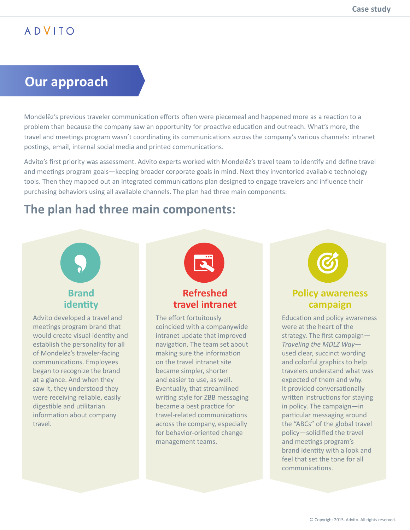#### **Our approach**

Mondelēz's previous traveler communication efforts often were piecemeal and happened more as a reaction to a problem than because the company saw an opportunity for proactive education and outreach. What's more, the travel and meetings program wasn't coordinating its communications across the company's various channels: intranet postings, email, internal social media and printed communications.

Advito's first priority was assessment. Advito experts worked with Mondelēz's travel team to identify and define travel and meetings program goals—keeping broader corporate goals in mind. Next they inventoried available technology tools. Then they mapped out an integrated communications plan designed to engage travelers and influence their purchasing behaviors using all available channels. The plan had three main components:

#### **The plan had three main components:**



would create visual identity and establish the personality for all of Mondelēz's traveler-facing communications. Employees began to recognize the brand at a glance. And when they saw it, they understood they were receiving reliable, easily digestible and utilitarian information about company travel.



#### **Refreshed travel intranet**

The effort fortuitously coincided with a companywide intranet update that improved navigation. The team set about making sure the information on the travel intranet site became simpler, shorter and easier to use, as well. Eventually, that streamlined writing style for ZBB messaging became a best practice for travel-related communications across the company, especially for behavior-oriented change management teams.

#### **Policy awareness campaign**

Education and policy awareness were at the heart of the strategy. The first campaign— *Traveling the MDLZ Way* used clear, succinct wording and colorful graphics to help travelers understand what was expected of them and why. It provided conversationally written instructions for staying in policy. The campaign—in particular messaging around the "ABCs" of the global travel policy—solidified the travel and meetings program's brand identity with a look and feel that set the tone for all communications.